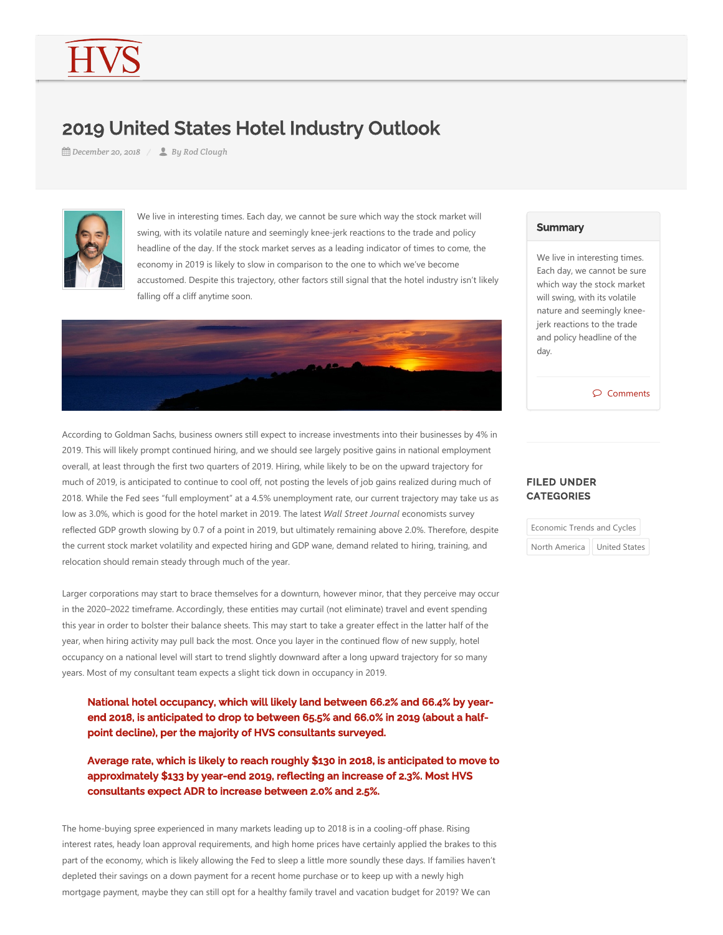## 2019 United States Hotel Industry Outlook

*December 20, 2018 By Rod Clough*



We live in interesting times. Each day, we cannot be sure which way the stock market will swing, with its volatile nature and seemingly knee‐jerk reactions to the trade and policy headline of the day. If the stock market serves as a leading indicator of times to come, the economy in 2019 is likely to slow in comparison to the one to which we've become accustomed. Despite this trajectory, other factors still signal that the hotel industry isn't likely falling off a cliff anytime soon.



According to Goldman Sachs, business owners still expect to increase investments into their businesses by 4% in 2019. This will likely prompt continued hiring, and we should see largely positive gains in national employment overall, at least through the first two quarters of 2019. Hiring, while likely to be on the upward trajectory for much of 2019, is anticipated to continue to cool off, not posting the levels of job gains realized during much of 2018. While the Fed sees "full employment" at a 4.5% unemployment rate, our current trajectory may take us as low as 3.0%, which is good for the hotel market in 2019. The latest *Wall Street Journal* economists survey reflected GDP growth slowing by 0.7 of a point in 2019, but ultimately remaining above 2.0%. Therefore, despite the current stock market volatility and expected hiring and GDP wane, demand related to hiring, training, and relocation should remain steady through much of the year.

Larger corporations may start to brace themselves for a downturn, however minor, that they perceive may occur in the 2020–2022 timeframe. Accordingly, these entities may curtail (not eliminate) travel and event spending this year in order to bolster their balance sheets. This may start to take a greater effect in the latter half of the year, when hiring activity may pull back the most. Once you layer in the continued flow of new supply, hotel occupancy on a national level will start to trend slightly downward after a long upward trajectory for so many years. Most of my consultant team expects a slight tick down in occupancy in 2019.

National hotel occupancy, which will likely land between 66.2% and 66.4% by yearend 2018, is anticipated to drop to between 65.5% and 66.0% in 2019 (about a halfpoint decline), per the majority of HVS consultants surveyed.

Average rate, which is likely to reach roughly \$130 in 2018, is anticipated to move to approximately \$133 by year-end 2019, reflecting an increase of 2.3%. Most HVS consultants expect ADR to increase between 2.0% and 2.5%.

The home-buying spree experienced in many markets leading up to 2018 is in a cooling-off phase. Rising interest rates, heady loan approval requirements, and high home prices have certainly applied the brakes to this part of the economy, which is likely allowing the Fed to sleep a little more soundly these days. If families haven't depleted their savings on a down payment for a recent home purchase or to keep up with a newly high mortgage payment, maybe they can still opt for a healthy family travel and vacation budget for 2019? We can

## **Summary**

We live in interesting times. Each day, we cannot be sure which way the stock market will swing, with its volatile nature and seemingly knee‐ jerk reactions to the trade and policy headline of the day.

Comments

## FILED UNDER **CATEGORIES**

| Economic Trends and Cycles |                      |
|----------------------------|----------------------|
| North America              | <b>United States</b> |